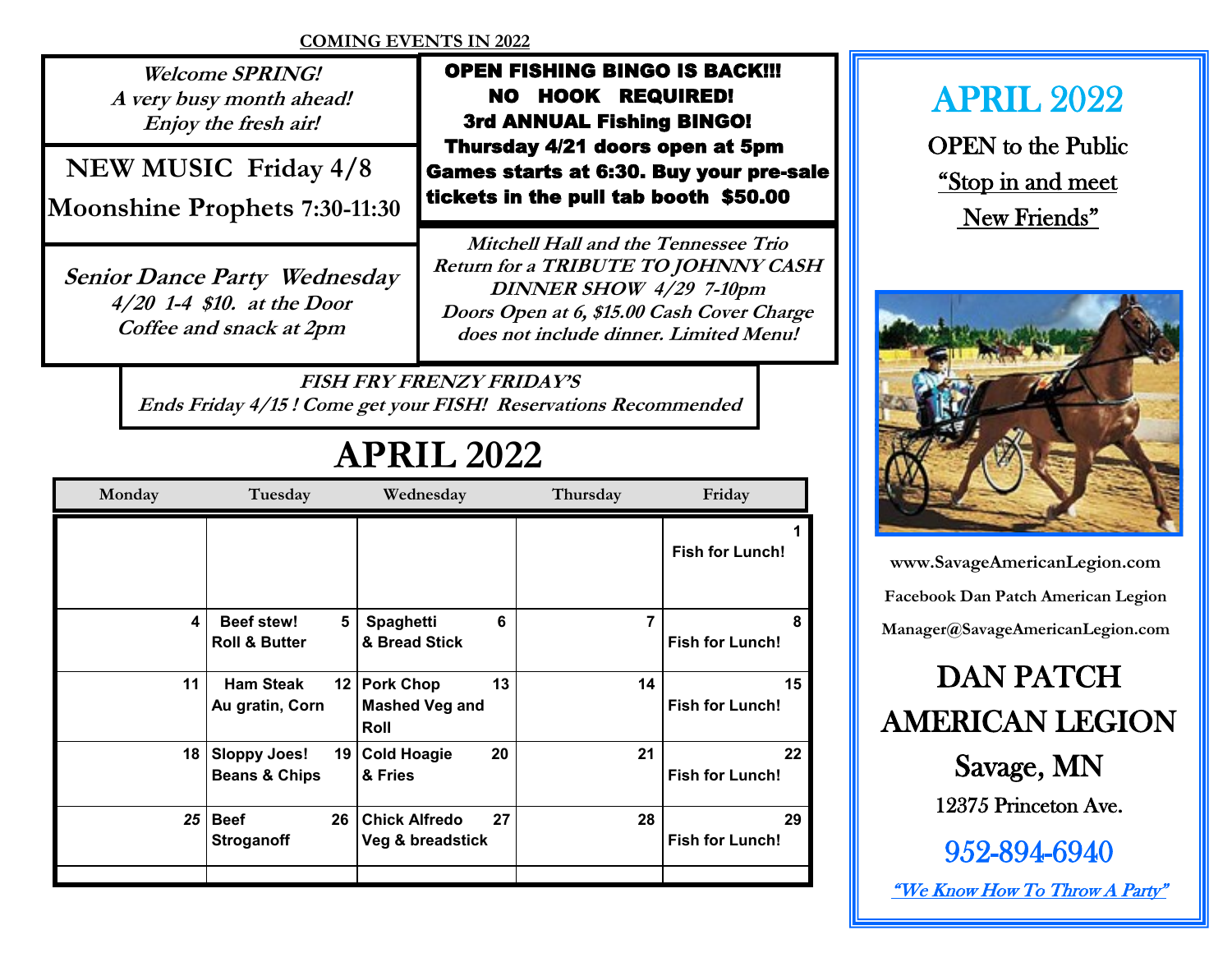## **COMING EVENTS IN 2022**

**Welcome SPRING! A very busy month ahead! Enjoy the fresh air!**

 **NEW MUSIC Friday 4/8**

**Moonshine Prophets 7:30-11:30**

**Senior Dance Party Wednesday 4/20 1-4 \$10. at the Door Coffee and snack at 2pm** 

 OPEN FISHING BINGO IS BACK!!! NO HOOK REQUIRED! 3rd ANNUAL Fishing BINGO! Thursday 4/21 doors open at 5pm Games starts at 6:30. Buy your pre-sale tickets in the pull tab booth \$50.00

**Mitchell Hall and the Tennessee Trio Return for a TRIBUTE TO JOHNNY CASH DINNER SHOW 4/29 7-10pm Doors Open at 6, \$15.00 Cash Cover Charge does not include dinner. Limited Menu!**

**FISH FRY FRENZY FRIDAY'S Ends Friday 4/15 ! Come get your FISH! Reservations Recommended**

## **APRIL 2022**

| Monday          | Tuesday                                       |                 | Wednesday                                     |    | Thursday | Friday                       |  |
|-----------------|-----------------------------------------------|-----------------|-----------------------------------------------|----|----------|------------------------------|--|
|                 |                                               |                 |                                               |    |          | <b>Fish for Lunch!</b>       |  |
| 4               | <b>Beef stew!</b><br><b>Roll &amp; Butter</b> | 5 <sup>5</sup>  | Spaghetti<br>& Bread Stick                    | 6  | 7        | 8<br><b>Fish for Lunch!</b>  |  |
| 11              | <b>Ham Steak</b><br>Au gratin, Corn           |                 | 12 Pork Chop<br><b>Mashed Veg and</b><br>Roll | 13 | 14       | 15<br><b>Fish for Lunch!</b> |  |
|                 | 18   Sloppy Joes!<br><b>Beans &amp; Chips</b> | 19 I            | <b>Cold Hoagie</b><br>& Fries                 | 20 | 21       | 22<br><b>Fish for Lunch!</b> |  |
| 25 <sub>1</sub> | <b>Beef</b><br><b>Stroganoff</b>              | 26 <sub>1</sub> | <b>Chick Alfredo</b><br>Veg & breadstick      | 27 | 28       | 29<br><b>Fish for Lunch!</b> |  |
|                 |                                               |                 |                                               |    |          |                              |  |

APRIL 2022

OPEN to the Public "Stop in and meet New Friends"



**www.SavageAmericanLegion.com Facebook Dan Patch American Legion Manager@SavageAmericanLegion.com**

DAN PATCH AMERICAN LEGION

> Savage, MN 12375 Princeton Ave.

952-894-6940 "We Know How To Throw A Party"